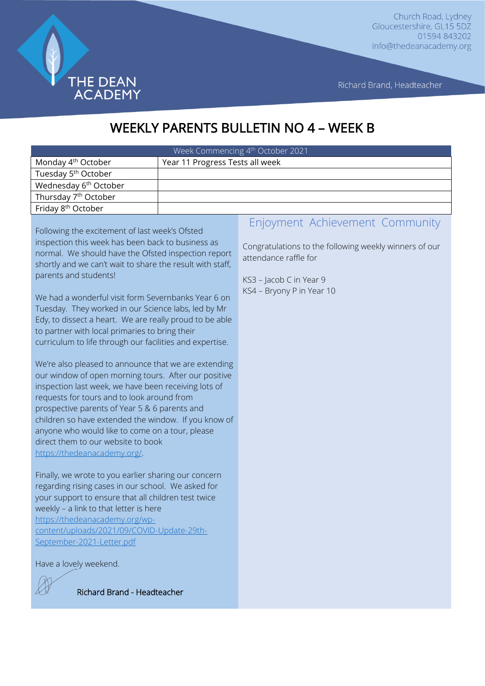

Richard Brand, Headteacher

# WEEKLY PARENTS BULLETIN NO 4 – WEEK B

| Week Commencing 4th October 2021  |                                 |  |
|-----------------------------------|---------------------------------|--|
| Monday 4 <sup>th</sup> October    | Year 11 Progress Tests all week |  |
| Tuesday 5 <sup>th</sup> October   |                                 |  |
| Wednesday 6 <sup>th</sup> October |                                 |  |
| Thursday 7 <sup>th</sup> October  |                                 |  |
| Friday 8 <sup>th</sup> October    |                                 |  |

Following the excitement of last week's Ofsted inspection this week has been back to business as normal. We should have the Ofsted inspection report shortly and we can't wait to share the result with staff, parents and students!

We had a wonderful visit form Severnbanks Year 6 on Tuesday. They worked in our Science labs, led by Mr Edy, to dissect a heart. We are really proud to be able to partner with local primaries to bring their curriculum to life through our facilities and expertise.

We're also pleased to announce that we are extending our window of open morning tours. After our positive inspection last week, we have been receiving lots of requests for tours and to look around from prospective parents of Year 5 & 6 parents and children so have extended the window. If you know of anyone who would like to come on a tour, please direct them to our website to book [https://thedeanacademy.org/.](https://thedeanacademy.org/)

Finally, we wrote to you earlier sharing our concern regarding rising cases in our school. We asked for your support to ensure that all children test twice weekly – a link to that letter is here [https://thedeanacademy.org/wp](https://thedeanacademy.org/wp-content/uploads/2021/09/COVID-Update-29th-September-2021-Letter.pdf)[content/uploads/2021/09/COVID-Update-29th-](https://thedeanacademy.org/wp-content/uploads/2021/09/COVID-Update-29th-September-2021-Letter.pdf)[September-2021-Letter.pdf](https://thedeanacademy.org/wp-content/uploads/2021/09/COVID-Update-29th-September-2021-Letter.pdf)

Have a lovely weekend.



Richard Brand - Headteacher

#### Enjoyment Achievement Community

Congratulations to the following weekly winners of our attendance raffle for

KS3 – Jacob C in Year 9 KS4 – Bryony P in Year 10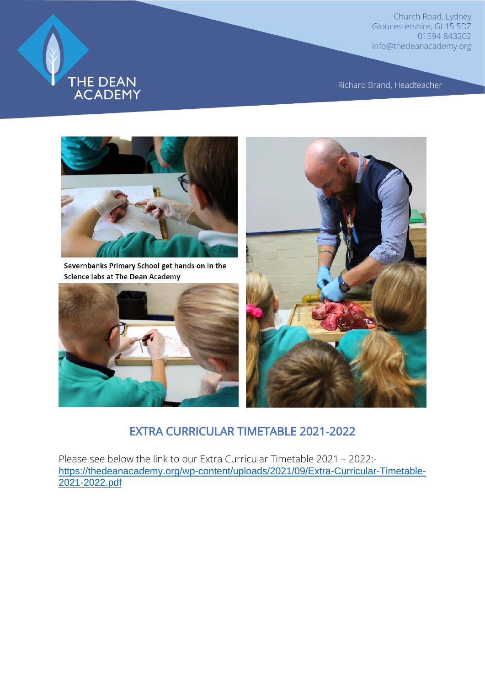

Richard Brand, Headteacher



Severnbanks Primary School get hands on in the **Science labs at The Dean Academy** 





#### EXTRA CURRICULAR TIMETABLE 2021-2022

Please see below the link to our Extra Curricular Timetable 2021 – 2022: [https://thedeanacademy.org/wp-content/uploads/2021/09/Extra-Curricular-Timetable-](https://thedeanacademy.org/wp-content/uploads/2021/09/Extra-Curricular-Timetable-2021-2022.pdf)[2021-2022.pdf](https://thedeanacademy.org/wp-content/uploads/2021/09/Extra-Curricular-Timetable-2021-2022.pdf)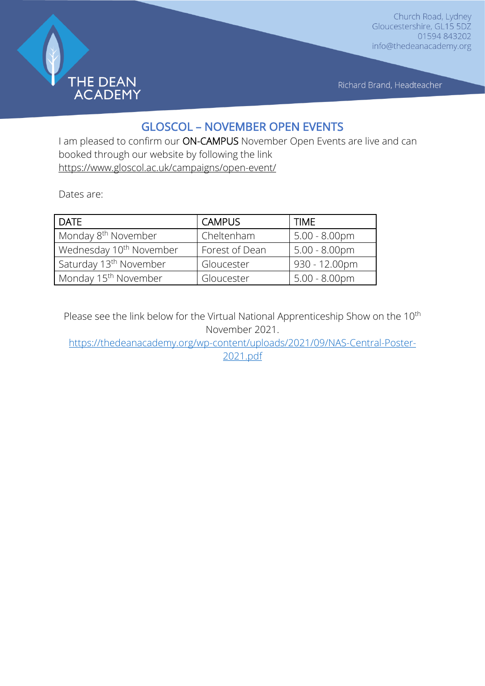

Richard Brand, Headteacher

# GLOSCOL – NOVEMBER OPEN EVENTS

I am pleased to confirm our ON-CAMPUS November Open Events are live and can booked through our website by following the link <https://www.gloscol.ac.uk/campaigns/open-event/>

Dates are:

| <b>DATE</b>                         | <b>CAMPUS</b>  | <b>TIME</b>             |
|-------------------------------------|----------------|-------------------------|
| Monday 8 <sup>th</sup> November     | Cheltenham     | $5.00 - 8.00 \text{pm}$ |
| Wednesday 10 <sup>th</sup> November | Forest of Dean | $5.00 - 8.00 \text{pm}$ |
| Saturday 13 <sup>th</sup> November  | Gloucester     | 930 - 12.00pm           |
| Monday 15 <sup>th</sup> November    | Gloucester     | $5.00 - 8.00$ pm        |

Please see the link below for the Virtual National Apprenticeship Show on the 10<sup>th</sup> November 2021.

[https://thedeanacademy.org/wp-content/uploads/2021/09/NAS-Central-Poster-](https://thedeanacademy.org/wp-content/uploads/2021/09/NAS-Central-Poster-2021.pdf)[2021.pdf](https://thedeanacademy.org/wp-content/uploads/2021/09/NAS-Central-Poster-2021.pdf)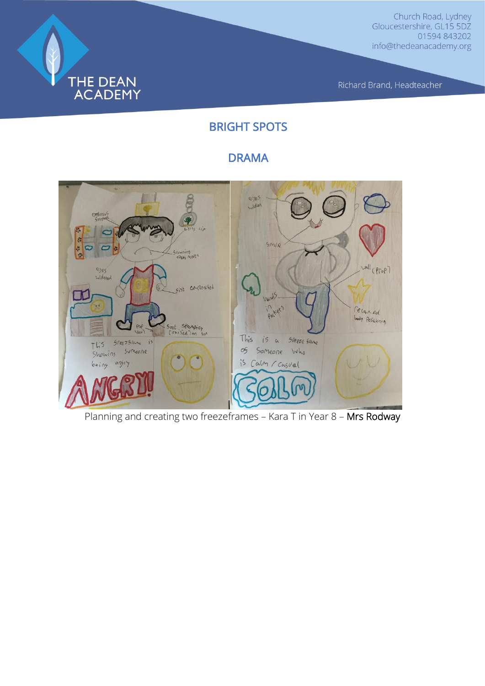

Richard Brand, Headteacher

# BRIGHT SPOTS

# DRAMA



Planning and creating two freezeframes – Kara T in Year 8 – Mrs Rodway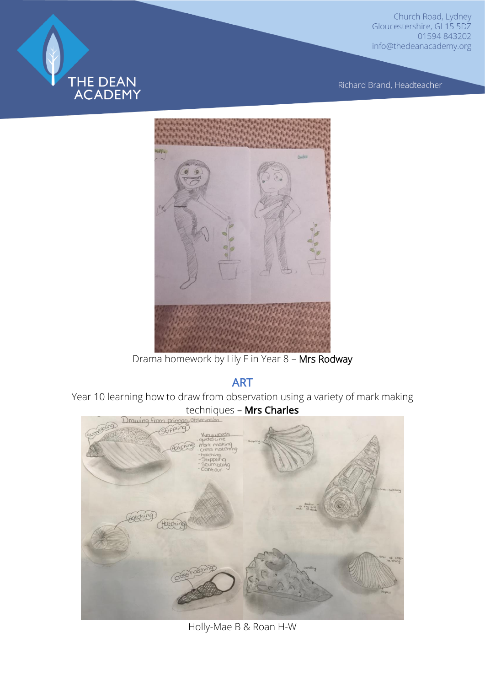

Richard Brand, Headteacher



Drama homework by Lily F in Year 8 – Mrs Rodway

ART

Year 10 learning how to draw from observation using a variety of mark making techniques – Mrs Charles<br>Drawing from princes alle exertion



Holly-Mae B & Roan H-W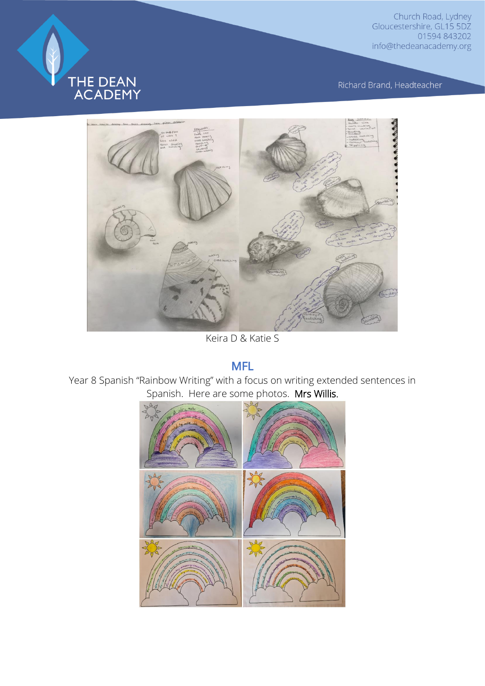

Richard Brand, Headteacher



Keira D & Katie S

# MFL

Year 8 Spanish "Rainbow Writing" with a focus on writing extended sentences in Spanish. Here are some photos. Mrs Willis.

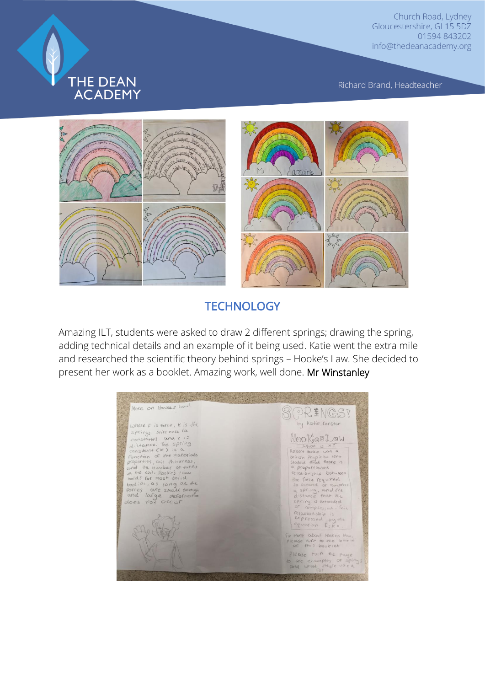

Richard Brand, Headteacher



#### **TECHNOLOGY**

Amazing ILT, students were asked to draw 2 different springs; drawing the spring, adding technical details and an example of it being used. Katie went the extra mile and researched the scientific theory behind springs – Hooke's Law. She decided to present her work as a booklet. Amazing work, well done. Mr Winstanley

More on Hookes Law SPRINGS? Where F is force, K is the<br>sometry strength over it constants on the constant of<br>clistance. The spring<br>constant Cte ) is a<br>function of the materials<br>and the number of the materials<br>in the coil. Hoolce's law<br>holds for most by Katie Forster HookesLow What is it?<br>Robert Hooke was a<br>birdish physicist who<br>stacked that there is<br>a proportional between<br>relationship between relationship Detween<br>the force required<br>a spring, and the<br>distance that the distance<br>of spring is extended<br>or complessed. This<br>expressed by the<br>equation F.c.kx. nolds for most salid<br>bodies, as jong as the<br>forces are small enough<br>and lorge deformation<br>does rot occur For more about hoskes law<br>please turn to the back<br>are mis booklet Please fuin the page<br>to see examples of spin<br>and what these used